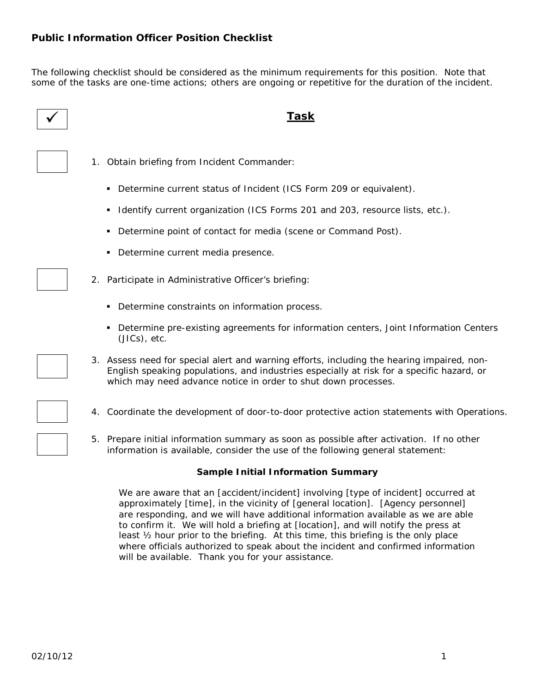The following checklist should be considered as the minimum requirements for this position. Note that some of the tasks are one-time actions; others are ongoing or repetitive for the duration of the incident.

- 
- 1. Obtain briefing from Incident Commander:
	- Determine current status of Incident (ICS Form 209 or equivalent).
	- I dentify current organization (ICS Forms 201 and 203, resource lists, etc.).
	- Determine point of contact for media (scene or Command Post).
	- Determine current media presence.
- 2. Participate in Administrative Officer's briefing:
	- Determine constraints on information process.
	- Determine pre-existing agreements for information centers, Joint Information Centers (JICs), etc.
- 3. Assess need for special alert and warning efforts, including the hearing impaired, non-English speaking populations, and industries especially at risk for a specific hazard, or which may need advance notice in order to shut down processes.
- 4. Coordinate the development of door-to-door protective action statements with Operations.
- 5. Prepare initial information summary as soon as possible after activation. If no other information is available, consider the use of the following general statement:

## **Sample Initial Information Summary**

We are aware that an *[accident/incident]* involving *[type of incident]* occurred at approximately *[time]*, in the vicinity of *[general location]*. *[Agency personnel]* are responding, and we will have additional information available as we are able to confirm it. We will hold a briefing at *[location]*, and will notify the press at least  $\frac{1}{2}$  hour prior to the briefing. At this time, this briefing is the only place where officials authorized to speak about the incident and confirmed information will be available. Thank you for your assistance.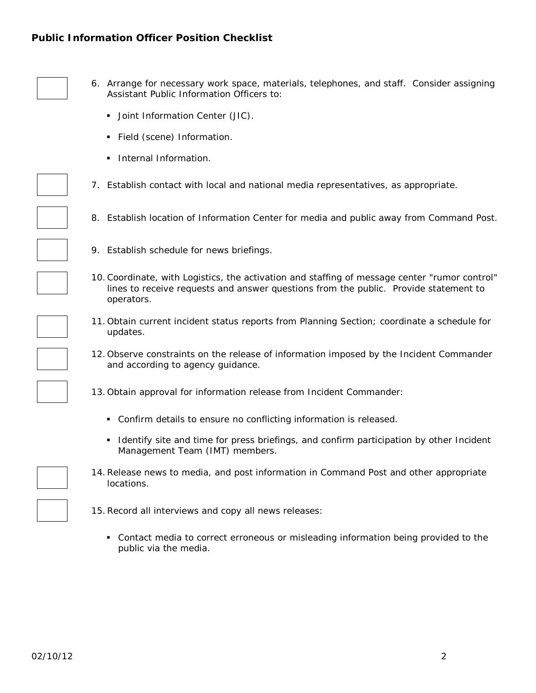# **Public Information Officer Position Checklist**



- 6. Arrange for necessary work space, materials, telephones, and staff. Consider assigning Assistant Public Information Officers to:
	- **Joint Information Center (JIC).**
	- **Field (scene) Information.**
	- **Internal Information.**

7. Establish contact with local and national media representatives, as appropriate.

- 8. Establish location of Information Center for media and public away from Command Post.
- 9. Establish schedule for news briefings.
- 10.Coordinate, with Logistics, the activation and staffing of message center "rumor control" lines to receive requests and answer questions from the public. Provide statement to operators.
- 11.Obtain current incident status reports from Planning Section; coordinate a schedule for updates.
- 12.Observe constraints on the release of information imposed by the Incident Commander and according to agency guidance.
- 13.Obtain approval for information release from Incident Commander:
	- Confirm details to ensure no conflicting information is released.
	- I dentify site and time for press briefings, and confirm participation by other Incident Management Team (IMT) members.
- 14.Release news to media, and post information in Command Post and other appropriate locations.



 Contact media to correct erroneous or misleading information being provided to the public via the media.